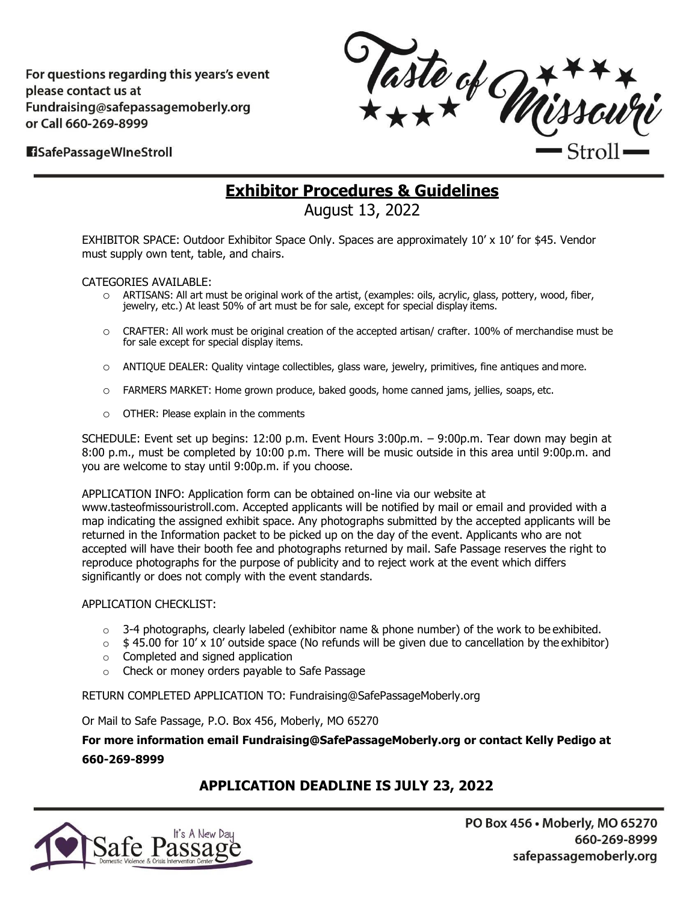For questions regarding this years's event please contact us at Fundraising@safepassagemoberly.org or Call 660-269-8999



#### **H**SafePassageWIneStroll

## **Exhibitor Procedures & Guidelines**

August 13, 2022

EXHIBITOR SPACE: Outdoor Exhibitor Space Only. Spaces are approximately 10' x 10' for \$45. Vendor must supply own tent, table, and chairs.

CATEGORIES AVAILABLE:

- o ARTISANS: All art must be original work of the artist, (examples: oils, acrylic, glass, pottery, wood, fiber, jewelry, etc.) At least 50% of art must be for sale, except for special display items.
- o CRAFTER: All work must be original creation of the accepted artisan/ crafter. 100% of merchandise must be for sale except for special display items.
- o ANTIQUE DEALER: Quality vintage collectibles, glass ware, jewelry, primitives, fine antiques and more.
- o FARMERS MARKET: Home grown produce, baked goods, home canned jams, jellies, soaps, etc.
- o OTHER: Please explain in the comments

SCHEDULE: Event set up begins: 12:00 p.m. Event Hours 3:00p.m. – 9:00p.m. Tear down may begin at 8:00 p.m., must be completed by 10:00 p.m. There will be music outside in this area until 9:00p.m. and you are welcome to stay until 9:00p.m. if you choose.

APPLICATION INFO: Application form can be obtained on-line via our website at

[www.tasteofmissouristroll.com. A](http://www.tasteofmissouristroll.com/)ccepted applicants will be notified by mail or email and provided with a map indicating the assigned exhibit space. Any photographs submitted by the accepted applicants will be returned in the Information packet to be picked up on the day of the event. Applicants who are not accepted will have their booth fee and photographs returned by mail. Safe Passage reserves the right to reproduce photographs for the purpose of publicity and to reject work at the event which differs significantly or does not comply with the event standards.

#### APPLICATION CHECKLIST:

- $\circ$  3-4 photographs, clearly labeled (exhibitor name & phone number) of the work to be exhibited.
- $\circ$  \$45.00 for 10' x 10' outside space (No refunds will be given due to cancellation by the exhibitor)
- o Completed and signed application
- o Check or money orders payable to Safe Passage

RETURN COMPLETED APPLICATION TO: [Fundraising@SafePassageMoberly.org](mailto:Fundraising@SafePassageMoberly.org)

Or Mail to Safe Passage, P.O. Box 456, Moberly, MO 65270

**For more information email [Fundraising@SafePassageMoberly.org o](mailto:Fundraising@SafePassageMoberly.org)r contact Kelly Pedigo at 660-269-8999**

#### **APPLICATION DEADLINE IS JULY 23, 2022**